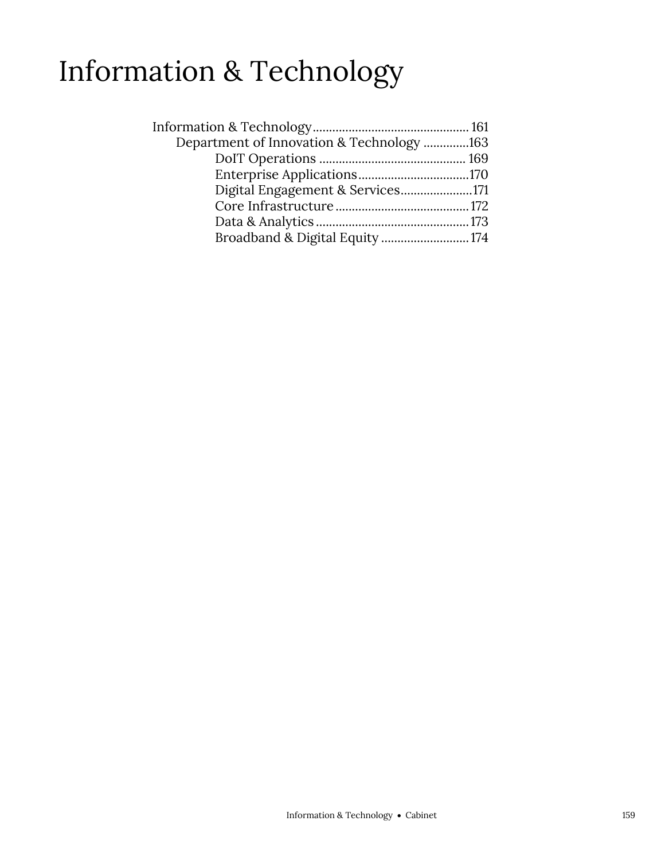# Information & Technology

| Department of Innovation & Technology 163 |  |
|-------------------------------------------|--|
|                                           |  |
|                                           |  |
| Digital Engagement & Services171          |  |
|                                           |  |
|                                           |  |
| Broadband & Digital Equity  174           |  |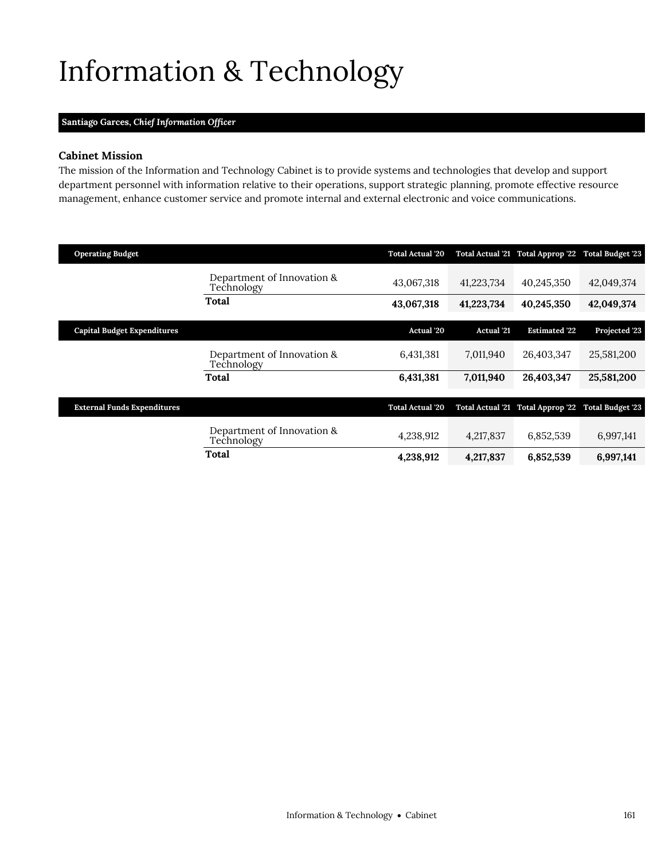# <span id="page-2-0"></span>Information & Technology

#### **Santiago Garces,** *Chief Information Officer*

#### **Cabinet Mission**

The mission of the Information and Technology Cabinet is to provide systems and technologies that develop and support department personnel with information relative to their operations, support strategic planning, promote effective resource management, enhance customer service and promote internal and external electronic and voice communications.

| <b>Operating Budget</b>            |                                          | <b>Total Actual '20</b> |                   | Total Actual '21 Total Approp '22 Total Budget '23 |               |
|------------------------------------|------------------------------------------|-------------------------|-------------------|----------------------------------------------------|---------------|
|                                    | Department of Innovation &<br>Technology | 43,067,318              | 41,223,734        | 40,245,350                                         | 42,049,374    |
|                                    | Total                                    | 43,067,318              | 41,223,734        | 40,245,350                                         | 42,049,374    |
|                                    |                                          |                         |                   |                                                    |               |
| <b>Capital Budget Expenditures</b> |                                          | Actual '20              | <b>Actual</b> '21 | <b>Estimated '22</b>                               | Projected '23 |
|                                    | Department of Innovation &<br>Technology | 6,431,381               | 7,011,940         | 26,403,347                                         | 25,581,200    |
|                                    | Total                                    | 6,431,381               | 7,011,940         | 26,403,347                                         | 25,581,200    |
|                                    |                                          |                         |                   |                                                    |               |
| <b>External Funds Expenditures</b> |                                          | <b>Total Actual 20</b>  |                   | Total Actual '21 Total Approp '22 Total Budget '23 |               |
|                                    | Department of Innovation &<br>Technology | 4,238,912               | 4,217,837         | 6,852,539                                          | 6,997,141     |
|                                    | Total                                    | 4,238,912               | 4,217,837         | 6,852,539                                          | 6,997,141     |
|                                    |                                          |                         |                   |                                                    |               |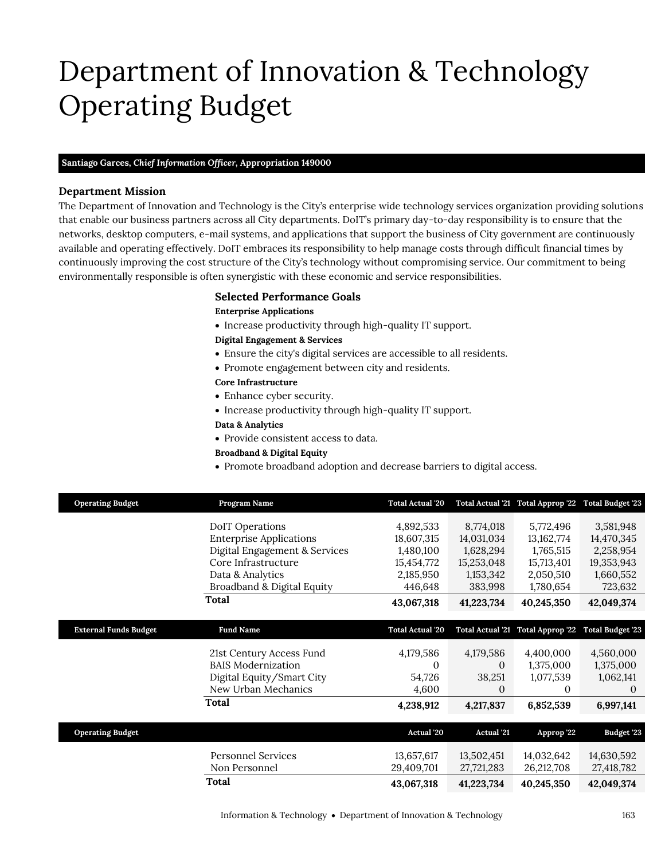## Department of Innovation & Technology Operating Budget

#### **Santiago Garces,** *Chief Information Officer,* **Appropriation 149000**

#### **Department Mission**

The Department of Innovation and Technology is the City's enterprise wide technology services organization providing solutions that enable our business partners across all City departments. DoIT's primary day-to-day responsibility is to ensure that the networks, desktop computers, e-mail systems, and applications that support the business of City government are continuously available and operating effectively. DoIT embraces its responsibility to help manage costs through difficult financial times by continuously improving the cost structure of the City's technology without compromising service. Our commitment to being environmentally responsible is often synergistic with these economic and service responsibilities.

#### <span id="page-4-0"></span>**Selected Performance Goals**

#### **Enterprise Applications**

- Increase productivity through high-quality IT support.
- **Digital Engagement & Services**
- Ensure the city's digital services are accessible to all residents.
- Promote engagement between city and residents.

#### **Core Infrastructure**

- Enhance cyber security.
- Increase productivity through high-quality IT support.
- **Data & Analytics**
- Provide consistent access to data.
- **Broadband & Digital Equity**
- Promote broadband adoption and decrease barriers to digital access.

| <b>Operating Budget</b>      | Program Name                   | <b>Total Actual '20</b> |                   | Total Actual '21 Total Approp '22 Total Budget '23 |                         |
|------------------------------|--------------------------------|-------------------------|-------------------|----------------------------------------------------|-------------------------|
|                              |                                |                         |                   |                                                    |                         |
|                              | <b>DoIT</b> Operations         | 4,892,533               | 8,774,018         | 5,772,496                                          | 3,581,948               |
|                              | <b>Enterprise Applications</b> | 18,607,315              | 14,031,034        | 13, 162, 774                                       | 14,470,345              |
|                              | Digital Engagement & Services  | 1,480,100               | 1,628,294         | 1,765,515                                          | 2,258,954               |
|                              | Core Infrastructure            | 15,454,772              | 15,253,048        | 15,713,401                                         | 19,353,943              |
|                              | Data & Analytics               | 2,185,950               | 1,153,342         | 2,050,510                                          | 1,660,552               |
|                              | Broadband & Digital Equity     | 446,648                 | 383,998           | 1,780,654                                          | 723,632                 |
|                              | Total                          | 43,067,318              | 41,223,734        | 40,245,350                                         | 42,049,374              |
|                              |                                |                         |                   |                                                    |                         |
| <b>External Funds Budget</b> | <b>Fund Name</b>               | <b>Total Actual '20</b> |                   | Total Actual '21 Total Approp '22                  | <b>Total Budget '23</b> |
|                              |                                |                         |                   |                                                    |                         |
|                              | 21st Century Access Fund       | 4,179,586               | 4,179,586         | 4,400,000                                          | 4,560,000               |
|                              | <b>BAIS Modernization</b>      | $\Omega$                | $\mathbf{0}$      | 1,375,000                                          | 1,375,000               |
|                              | Digital Equity/Smart City      | 54,726                  | 38,251            | 1,077,539                                          | 1,062,141               |
|                              | New Urban Mechanics            | 4,600                   | $\Omega$          | $\Omega$                                           | $\Omega$                |
|                              | Total                          | 4,238,912               | 4,217,837         | 6,852,539                                          | 6,997,141               |
|                              |                                |                         |                   |                                                    |                         |
| <b>Operating Budget</b>      |                                | Actual '20              | <b>Actual</b> '21 | Approp '22                                         | Budget '23              |
|                              | <b>Personnel Services</b>      | 13,657,617              | 13,502,451        | 14,032,642                                         | 14,630,592              |
|                              | Non Personnel                  | 29,409,701              | 27,721,283        | 26,212,708                                         | 27,418,782              |
|                              | Total                          | 43,067,318              | 41,223,734        | 40,245,350                                         | 42,049,374              |
|                              |                                |                         |                   |                                                    |                         |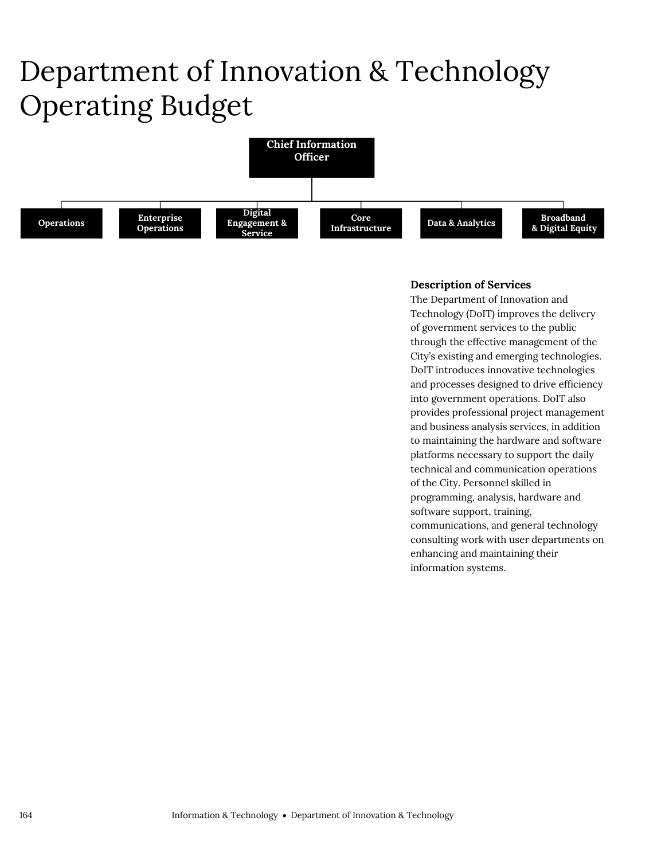### Department of Innovation & Technology Operating Budget



#### **Description of Services**

The Department of Innovation and Technology (DoIT) improves the delivery of government services to the public through the effective management of the City's existing and emerging technologies. DoIT introduces innovative technologies and processes designed to drive efficiency into government operations. DoIT also provides professional project management and business analysis services, in addition to maintaining the hardware and software platforms necessary to support the daily technical and communication operations of the City. Personnel skilled in programming, analysis, hardware and software support, training, communications, and general technology consulting work with user departments on enhancing and maintaining their information systems.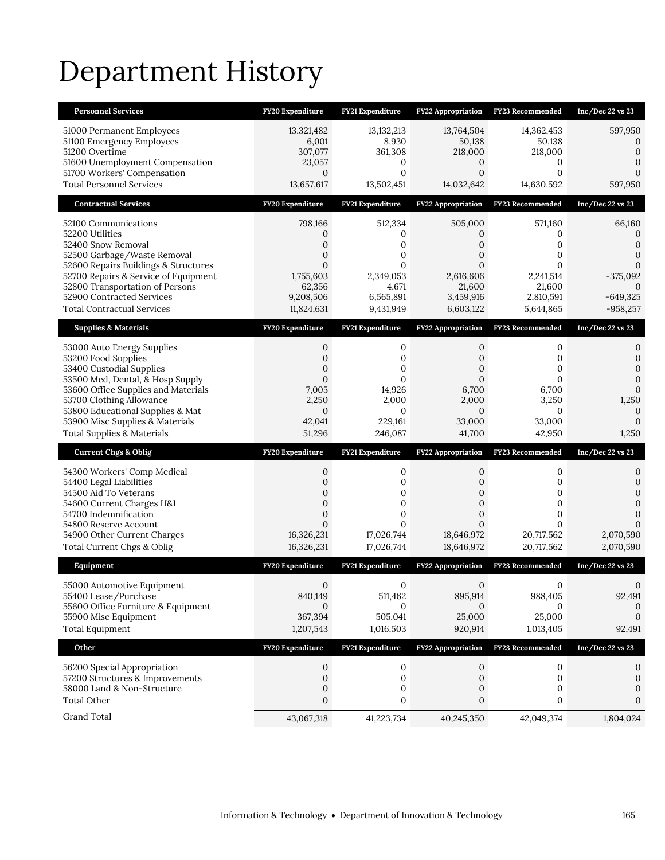# Department History

| <b>Personnel Services</b>                                                                                                                                                                                                                                                         | FY20 Expenditure                                                                                               | FY21 Expenditure                                                                                                        | <b>FY22 Appropriation</b>                                                                                           | <b>FY23 Recommended</b>                                                                                                | Inc/Dec 22 vs 23                                                                                                  |
|-----------------------------------------------------------------------------------------------------------------------------------------------------------------------------------------------------------------------------------------------------------------------------------|----------------------------------------------------------------------------------------------------------------|-------------------------------------------------------------------------------------------------------------------------|---------------------------------------------------------------------------------------------------------------------|------------------------------------------------------------------------------------------------------------------------|-------------------------------------------------------------------------------------------------------------------|
| 51000 Permanent Employees<br>51100 Emergency Employees<br>51200 Overtime<br>51600 Unemployment Compensation<br>51700 Workers' Compensation<br><b>Total Personnel Services</b>                                                                                                     | 13,321,482<br>6,001<br>307,077<br>23,057<br>$\mathbf{0}$<br>13,657,617                                         | 13, 132, 213<br>8,930<br>361,308<br>$\mathbf 0$<br>$\mathbf{0}$<br>13,502,451                                           | 13,764,504<br>50,138<br>218,000<br>0<br>$\mathbf{0}$<br>14,032,642                                                  | 14,362,453<br>50,138<br>218,000<br>0<br>$\mathbf{0}$<br>14,630,592                                                     | 597,950<br>$\mathbf{0}$<br>$\mathbf{0}$<br>$\theta$<br>$\Omega$<br>597,950                                        |
| <b>Contractual Services</b>                                                                                                                                                                                                                                                       | FY20 Expenditure                                                                                               | FY21 Expenditure                                                                                                        | <b>FY22 Appropriation</b>                                                                                           | FY23 Recommended                                                                                                       | $Inc/Dec$ 22 vs 23                                                                                                |
| 52100 Communications<br>52200 Utilities<br>52400 Snow Removal<br>52500 Garbage/Waste Removal<br>52600 Repairs Buildings & Structures<br>52700 Repairs & Service of Equipment<br>52800 Transportation of Persons<br>52900 Contracted Services<br><b>Total Contractual Services</b> | 798,166<br>0<br>$\mathbf{0}$<br>$\mathbf{0}$<br>$\mathbf{0}$<br>1,755,603<br>62,356<br>9,208,506<br>11,824,631 | 512,334<br>$\mathbf{0}$<br>$\mathbf{0}$<br>$\mathbf{0}$<br>$\mathbf{0}$<br>2,349,053<br>4,671<br>6,565,891<br>9,431,949 | 505,000<br>0<br>$\boldsymbol{0}$<br>$\mathbf{0}$<br>$\mathbf{0}$<br>2,616,606<br>21,600<br>3,459,916<br>6,603,122   | 571,160<br>0<br>0<br>$\mathbf{0}$<br>$\Omega$<br>2,241,514<br>21,600<br>2,810,591<br>5,644,865                         | 66,160<br>$\theta$<br>$\mathbf{0}$<br>$\mathbf{0}$<br>$\Omega$<br>$-375,092$<br>$-649,325$<br>$-958,257$          |
| <b>Supplies &amp; Materials</b>                                                                                                                                                                                                                                                   | FY20 Expenditure                                                                                               | FY21 Expenditure                                                                                                        | <b>FY22 Appropriation</b>                                                                                           | FY23 Recommended                                                                                                       | Inc/Dec 22 vs 23                                                                                                  |
| 53000 Auto Energy Supplies<br>53200 Food Supplies<br>53400 Custodial Supplies<br>53500 Med, Dental, & Hosp Supply<br>53600 Office Supplies and Materials<br>53700 Clothing Allowance<br>53800 Educational Supplies & Mat                                                          | $\mathbf 0$<br>$\mathbf{0}$<br>$\mathbf{0}$<br>$\mathbf{0}$<br>7,005<br>2,250<br>$\mathbf{0}$                  | 0<br>$\mathbf{0}$<br>0<br>$\Omega$<br>14,926<br>2,000<br>$\mathbf{0}$                                                   | $\mathbf 0$<br>$\mathbf{0}$<br>$\boldsymbol{0}$<br>$\mathbf{0}$<br>6,700<br>2,000<br>$\mathbf{0}$                   | $\mathbf 0$<br>$\mathbf{0}$<br>$\mathbf 0$<br>$\Omega$<br>6,700<br>3,250<br>$\Omega$                                   | $\mathbf 0$<br>$\mathbf{0}$<br>$\mathbf{0}$<br>$\mathbf{0}$<br>$\Omega$<br>1,250<br>$\mathbf{0}$                  |
| 53900 Misc Supplies & Materials<br><b>Total Supplies &amp; Materials</b>                                                                                                                                                                                                          | 42,041<br>51,296                                                                                               | 229,161<br>246,087                                                                                                      | 33,000<br>41,700                                                                                                    | 33,000<br>42,950                                                                                                       | $\mathbf{0}$<br>1,250                                                                                             |
| <b>Current Chgs &amp; Oblig</b>                                                                                                                                                                                                                                                   | FY20 Expenditure                                                                                               | FY21 Expenditure                                                                                                        | FY22 Appropriation                                                                                                  | FY23 Recommended                                                                                                       | Inc/Dec 22 vs 23                                                                                                  |
| 54300 Workers' Comp Medical<br>54400 Legal Liabilities<br>54500 Aid To Veterans<br>54600 Current Charges H&I<br>54700 Indemnification<br>54800 Reserve Account<br>54900 Other Current Charges<br>Total Current Chgs & Oblig                                                       | 0<br>$\mathbf{0}$<br>$\boldsymbol{0}$<br>$\mathbf{0}$<br>$\mathbf{0}$<br>$\Omega$<br>16,326,231<br>16,326,231  | $\mathbf 0$<br>$\mathbf{0}$<br>$\mathbf 0$<br>$\mathbf 0$<br>$\mathbf{0}$<br>$\mathbf{0}$<br>17,026,744<br>17,026,744   | $\mathbf 0$<br>$\mathbf{0}$<br>$\mathbf{0}$<br>$\mathbf{0}$<br>$\mathbf{0}$<br>$\Omega$<br>18,646,972<br>18,646,972 | $\mathbf 0$<br>$\mathbf{0}$<br>$\mathbf 0$<br>$\mathbf{0}$<br>$\mathbf{0}$<br>$\mathbf{0}$<br>20,717,562<br>20,717,562 | $\mathbf 0$<br>$\mathbf{0}$<br>$\mathbf{0}$<br>$\mathbf{0}$<br>$\mathbf{0}$<br>$\Omega$<br>2,070,590<br>2,070,590 |
| Equipment                                                                                                                                                                                                                                                                         | FY20 Expenditure                                                                                               | FY21 Expenditure                                                                                                        | <b>FY22 Appropriation</b>                                                                                           | FY23 Recommended                                                                                                       | $Inc/Dec$ 22 vs 23                                                                                                |
| 55000 Automotive Equipment<br>55400 Lease/Purchase<br>55600 Office Furniture & Equipment<br>55900 Misc Equipment<br><b>Total Equipment</b>                                                                                                                                        | $\mathbf{0}$<br>840,149<br>$\Omega$<br>367,394<br>1,207,543                                                    | $\mathbf 0$<br>511,462<br>$\Omega$<br>505,041<br>1,016,503                                                              | $\mathbf{0}$<br>895,914<br>$\Omega$<br>25,000<br>920,914                                                            | 0<br>988,405<br>0<br>25,000<br>1,013,405                                                                               | $\mathbf{0}$<br>92,491<br>$\Omega$<br>92,491                                                                      |
| Other                                                                                                                                                                                                                                                                             | FY20 Expenditure                                                                                               | FY21 Expenditure                                                                                                        | <b>FY22 Appropriation</b>                                                                                           | FY23 Recommended                                                                                                       | Inc/Dec 22 vs 23                                                                                                  |
| 56200 Special Appropriation<br>57200 Structures & Improvements<br>58000 Land & Non-Structure<br><b>Total Other</b><br>Grand Total                                                                                                                                                 | $\mathbf{0}$<br>$\mathbf{0}$<br>$\boldsymbol{0}$<br>$\mathbf{0}$<br>43,067,318                                 | $\mathbf 0$<br>$\boldsymbol{0}$<br>0<br>$\mathbf{0}$<br>41,223,734                                                      | $\mathbf{0}$<br>$\mathbf 0$<br>$\boldsymbol{0}$<br>$\boldsymbol{0}$<br>40,245,350                                   | 0<br>$\boldsymbol{0}$<br>0<br>0<br>42,049,374                                                                          | $\mathbf{0}$<br>$\boldsymbol{0}$<br>$\mathbf{0}$<br>$\mathbf{0}$<br>1,804,024                                     |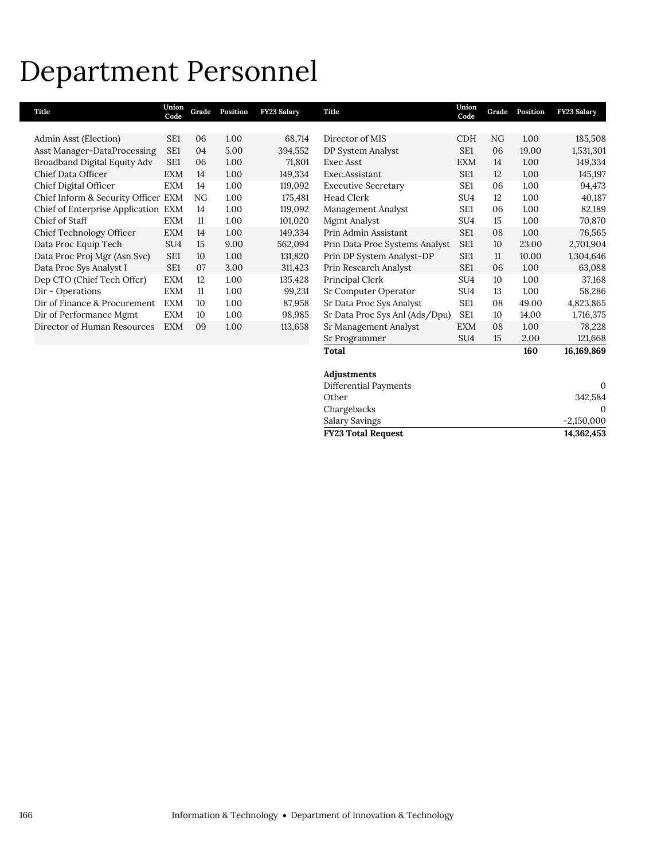## Department Personnel

| Title                               | Union<br>Code   | Grade | Position | FY23 Salary | Title                          | Union<br>Code   | Grade | Position | FY23 Salary |
|-------------------------------------|-----------------|-------|----------|-------------|--------------------------------|-----------------|-------|----------|-------------|
|                                     |                 |       |          |             |                                |                 |       |          |             |
| Admin Asst (Election)               | SE <sub>1</sub> | 06    | 1.00     | 68,714      | Director of MIS                | <b>CDH</b>      | NG    | 1.00     | 185,508     |
| Asst Manager-DataProcessing         | SE <sub>1</sub> | 04    | 5.00     | 394,552     | DP System Analyst              | SE <sub>1</sub> | 06    | 19.00    | 1,531,301   |
| Broadband Digital Equity Adv        | SE <sub>1</sub> | 06    | 1.00     | 71,801      | Exec Asst                      | <b>EXM</b>      | 14    | 1.00     | 149,334     |
| Chief Data Officer                  | <b>EXM</b>      | 14    | 1.00     | 149,334     | Exec.Assistant                 | SE <sub>1</sub> | 12    | 1.00     | 145,197     |
| Chief Digital Officer               | <b>EXM</b>      | 14    | 1.00     | 119,092     | <b>Executive Secretary</b>     | SE <sub>1</sub> | 06    | 1.00     | 94,473      |
| Chief Inform & Security Officer EXM |                 | NG    | 1.00     | 175,481     | Head Clerk                     | SU <sub>4</sub> | 12    | 1.00     | 40,187      |
| Chief of Enterprise Application EXM |                 | 14    | 1.00     | 119,092     | Management Analyst             | SE <sub>1</sub> | 06    | 1.00     | 82,189      |
| Chief of Staff                      | <b>EXM</b>      | 11    | 1.00     | 101,020     | Mgmt Analyst                   | SU4             | 15    | 1.00     | 70,870      |
| Chief Technology Officer            | <b>EXM</b>      | 14    | 1.00     | 149,334     | Prin Admin Assistant           | SE <sub>1</sub> | 08    | 1.00     | 76,565      |
| Data Proc Equip Tech                | SU <sub>4</sub> | 15    | 9.00     | 562,094     | Prin Data Proc Systems Analyst | SE <sub>1</sub> | 10    | 23.00    | 2,701,904   |
| Data Proc Proj Mgr (Asn Svc)        | SE <sub>1</sub> | 10    | 1.00     | 131,820     | Prin DP System Analyst-DP      | SE <sub>1</sub> | 11    | 10.00    | 1,304,646   |
| Data Proc Sys Analyst I             | SE <sub>1</sub> | 07    | 3.00     | 311,423     | Prin Research Analyst          | SE <sub>1</sub> | 06    | 1.00     | 63,088      |
| Dep CTO (Chief Tech Offcr)          | <b>EXM</b>      | 12    | 1.00     | 135,428     | Principal Clerk                | SU <sub>4</sub> | 10    | 1.00     | 37,168      |
| Dir - Operations                    | <b>EXM</b>      | 11    | 1.00     | 99,231      | Sr Computer Operator           | SU <sub>4</sub> | 13    | 1.00     | 58,286      |
| Dir of Finance & Procurement        | <b>EXM</b>      | 10    | 1.00     | 87,958      | Sr Data Proc Sys Analyst       | SE <sub>1</sub> | 08    | 49.00    | 4,823,865   |
| Dir of Performance Mgmt             | <b>EXM</b>      | 10    | 1.00     | 98,985      | Sr Data Proc Sys Anl (Ads/Dpu) | SE <sub>1</sub> | 10    | 14.00    | 1,716,375   |
| Director of Human Resources         | <b>EXM</b>      | 09    | 1.00     | 113,658     | Sr Management Analyst          | <b>EXM</b>      | 08    | 1.00     | 78,228      |
|                                     |                 |       |          |             | Sr Programmer                  | SU <sub>4</sub> | 15    | 2.00     | 121,668     |
|                                     |                 |       |          |             | Total                          |                 |       | 160      | 16,169,869  |

| 14,362,453   |
|--------------|
| $-2,150,000$ |
| $\Omega$     |
| 342.584      |
| $\Omega$     |
|              |
|              |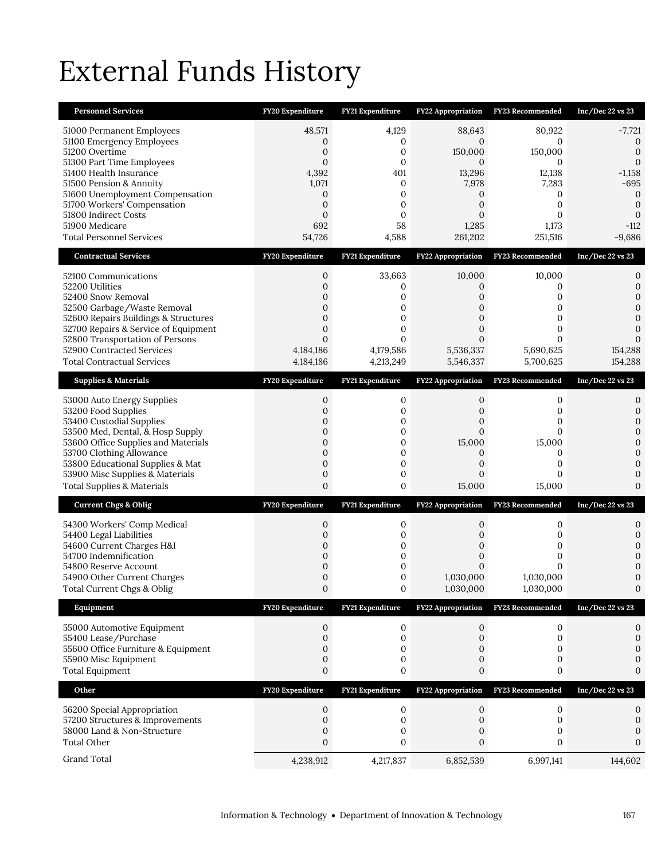# External Funds History

| <b>Personnel Services</b>                                                                                                                                                                                                                                                                                 | FY20 Expenditure                                                                                                             | FY21 Expenditure                                                                                                               | FY22 Appropriation                                                                                  | FY23 Recommended                                                                                    | $Inc/Dec$ 22 vs 23                                                                                                                 |
|-----------------------------------------------------------------------------------------------------------------------------------------------------------------------------------------------------------------------------------------------------------------------------------------------------------|------------------------------------------------------------------------------------------------------------------------------|--------------------------------------------------------------------------------------------------------------------------------|-----------------------------------------------------------------------------------------------------|-----------------------------------------------------------------------------------------------------|------------------------------------------------------------------------------------------------------------------------------------|
| 51000 Permanent Employees<br>51100 Emergency Employees<br>51200 Overtime<br>51300 Part Time Employees<br>51400 Health Insurance<br>51500 Pension & Annuity<br>51600 Unemployment Compensation<br>51700 Workers' Compensation<br>51800 Indirect Costs<br>51900 Medicare<br><b>Total Personnel Services</b> | 48,571<br>0<br>$\boldsymbol{0}$<br>$\Omega$<br>4,392<br>1,071<br>0<br>$\mathbf{0}$<br>$\mathbf{0}$<br>692<br>54,726          | 4,129<br>$\mathbf 0$<br>$\mathbf 0$<br>$\mathbf{0}$<br>401<br>0<br>$\mathbf{0}$<br>$\mathbf{0}$<br>$\mathbf{0}$<br>58<br>4,588 | 88,643<br>$\mathbf{0}$<br>150,000<br>0<br>13,296<br>7,978<br>0<br>0<br>$\Omega$<br>1,285<br>261,202 | 80,922<br>0<br>150,000<br>0<br>12,138<br>7,283<br>0<br>$\mathbf{0}$<br>$\Omega$<br>1,173<br>251,516 | $-7,721$<br>0<br>$\boldsymbol{0}$<br>$\Omega$<br>$-1,158$<br>$-695$<br>$\boldsymbol{0}$<br>$\mathbf{0}$<br>0<br>$-112$<br>$-9,686$ |
| <b>Contractual Services</b>                                                                                                                                                                                                                                                                               | FY20 Expenditure                                                                                                             | FY21 Expenditure                                                                                                               | FY22 Appropriation                                                                                  | FY23 Recommended                                                                                    | Inc/Dec 22 vs 23                                                                                                                   |
| 52100 Communications<br>52200 Utilities<br>52400 Snow Removal<br>52500 Garbage/Waste Removal<br>52600 Repairs Buildings & Structures<br>52700 Repairs & Service of Equipment<br>52800 Transportation of Persons<br>52900 Contracted Services<br><b>Total Contractual Services</b>                         | $\mathbf{0}$<br>$\mathbf{0}$<br>0<br>$\mathbf{0}$<br>$\overline{0}$<br>0<br>$\Omega$<br>4,184,186<br>4,184,186               | 33,663<br>0<br>0<br>0<br>0<br>0<br>$\Omega$<br>4,179,586<br>4,213,249                                                          | 10,000<br>0<br>0<br>$\mathbf{0}$<br>$\mathbf{0}$<br>0<br>$\Omega$<br>5,536,337<br>5,546,337         | 10,000<br>0<br>0<br>0<br>0<br>$\Omega$<br>0<br>5,690,625<br>5,700,625                               | 0<br>0<br>0<br>0<br>0<br>0<br>154,288<br>154,288                                                                                   |
| <b>Supplies &amp; Materials</b>                                                                                                                                                                                                                                                                           | FY20 Expenditure                                                                                                             | FY21 Expenditure                                                                                                               | <b>FY22 Appropriation</b>                                                                           | FY23 Recommended                                                                                    | Inc/Dec 22 vs 23                                                                                                                   |
| 53000 Auto Energy Supplies<br>53200 Food Supplies<br>53400 Custodial Supplies<br>53500 Med, Dental, & Hosp Supply<br>53600 Office Supplies and Materials<br>53700 Clothing Allowance<br>53800 Educational Supplies & Mat<br>53900 Misc Supplies & Materials<br>Total Supplies & Materials                 | 0<br>$\overline{0}$<br>0<br>$\mathbf{0}$<br>$\mathbf{0}$<br>$\mathbf{0}$<br>$\overline{0}$<br>$\mathbf{0}$<br>$\overline{0}$ | 0<br>$\mathbf 0$<br>0<br>$\mathbf 0$<br>$\mathbf{0}$<br>0<br>0<br>$\mathbf 0$<br>0                                             | 0<br>0<br>0<br>$\overline{0}$<br>15,000<br>0<br>0<br>0<br>15,000                                    | 0<br>0<br>0<br>0<br>15,000<br>0<br>0<br>0<br>15,000                                                 | 0<br>0<br>0<br>0<br>$\mathbf{0}$<br>$\mathbf{0}$<br>0<br>0<br>$\mathbf{0}$                                                         |
| <b>Current Chgs &amp; Oblig</b>                                                                                                                                                                                                                                                                           | FY20 Expenditure                                                                                                             | FY21 Expenditure                                                                                                               | FY22 Appropriation                                                                                  | FY23 Recommended                                                                                    | $Inc/Dec$ 22 vs 23                                                                                                                 |
| 54300 Workers' Comp Medical<br>54400 Legal Liabilities<br>54600 Current Charges H&I<br>54700 Indemnification<br>54800 Reserve Account<br>54900 Other Current Charges<br>Total Current Chgs & Oblig                                                                                                        | $\boldsymbol{0}$<br>0<br>0<br>0<br>$\mathbf{0}$<br>0<br>$\boldsymbol{0}$                                                     | 0<br>0<br>0<br>$\mathbf 0$<br>0<br>0<br>$\boldsymbol{0}$                                                                       | 0<br>0<br>0<br>0<br>$\Omega$<br>1,030,000<br>1,030,000                                              | 0<br>0<br>0<br>0<br>0<br>1,030,000<br>1,030,000                                                     | 0<br>0<br>0<br>0<br>0<br>0<br>$\overline{0}$                                                                                       |
| Equipment                                                                                                                                                                                                                                                                                                 | FY20 Expenditure                                                                                                             | FY21 Expenditure                                                                                                               | <b>FY22 Appropriation</b>                                                                           | FY23 Recommended                                                                                    | Inc/Dec 22 vs 23                                                                                                                   |
| 55000 Automotive Equipment<br>55400 Lease/Purchase<br>55600 Office Furniture & Equipment<br>55900 Misc Equipment<br><b>Total Equipment</b>                                                                                                                                                                | 0<br>$\mathbf{0}$<br>0<br>$\boldsymbol{0}$<br>0                                                                              | 0<br>0<br>0<br>0<br>0                                                                                                          | 0<br>0<br>0<br>0<br>0                                                                               | 0<br>0<br>0<br>0<br>0                                                                               | 0<br>0<br>$\boldsymbol{0}$<br>$\boldsymbol{0}$<br>0                                                                                |
| Other                                                                                                                                                                                                                                                                                                     | FY20 Expenditure                                                                                                             | FY21 Expenditure                                                                                                               | FY22 Appropriation                                                                                  | FY23 Recommended                                                                                    | Inc/Dec 22 vs 23                                                                                                                   |
| 56200 Special Appropriation<br>57200 Structures & Improvements<br>58000 Land & Non-Structure<br><b>Total Other</b>                                                                                                                                                                                        | 0<br>$\boldsymbol{0}$<br>0<br>$\mathbf{0}$                                                                                   | 0<br>$\boldsymbol{0}$<br>0<br>0                                                                                                | 0<br>$\boldsymbol{0}$<br>0<br>0                                                                     | $\mathbf 0$<br>0<br>0<br>0                                                                          | 0<br>$\mathbf{0}$<br>0<br>$\Omega$                                                                                                 |
| Grand Total                                                                                                                                                                                                                                                                                               | 4,238,912                                                                                                                    | 4,217,837                                                                                                                      | 6,852,539                                                                                           | 6,997,141                                                                                           | 144,602                                                                                                                            |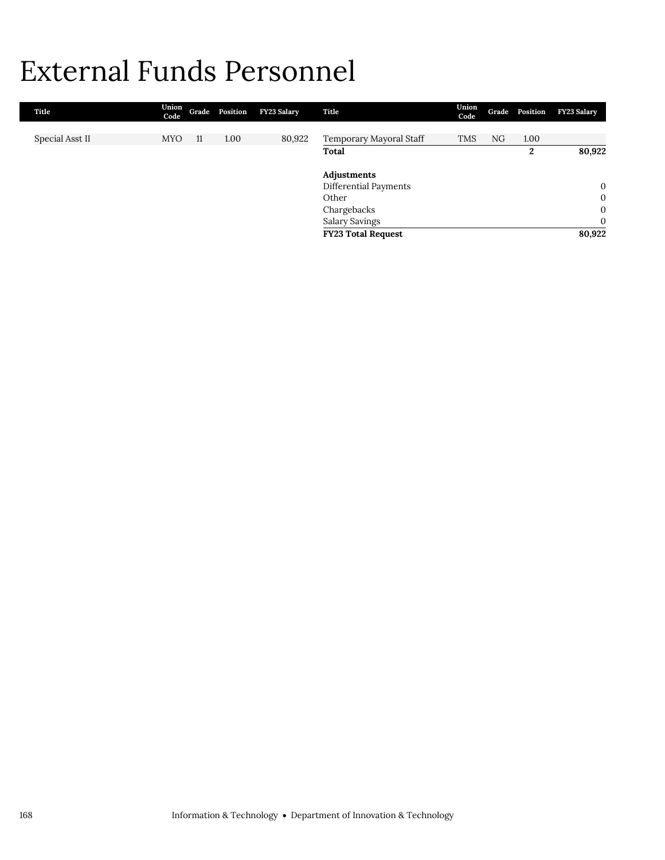### External Funds Personnel

| Title           | Union<br>Code |    | Grade Position | FY23 Salary | Title                     | Union<br>Code |    | Grade Position | FY23 Salary  |
|-----------------|---------------|----|----------------|-------------|---------------------------|---------------|----|----------------|--------------|
|                 |               |    |                |             |                           |               |    |                |              |
| Special Asst II | <b>MYO</b>    | 11 | 1.00           | 80,922      | Temporary Mayoral Staff   | <b>TMS</b>    | NG | 1.00           |              |
|                 |               |    |                |             | Total                     |               |    | $\mathbf{2}$   | 80,922       |
|                 |               |    |                |             | Adjustments               |               |    |                |              |
|                 |               |    |                |             | Differential Payments     |               |    |                | $\mathbf{0}$ |
|                 |               |    |                |             | Other                     |               |    |                | $\mathbf{0}$ |
|                 |               |    |                |             | Chargebacks               |               |    |                | $\mathbf{0}$ |
|                 |               |    |                |             | <b>Salary Savings</b>     |               |    |                | $\mathbf{0}$ |
|                 |               |    |                |             | <b>FY23 Total Request</b> |               |    |                | 80,922       |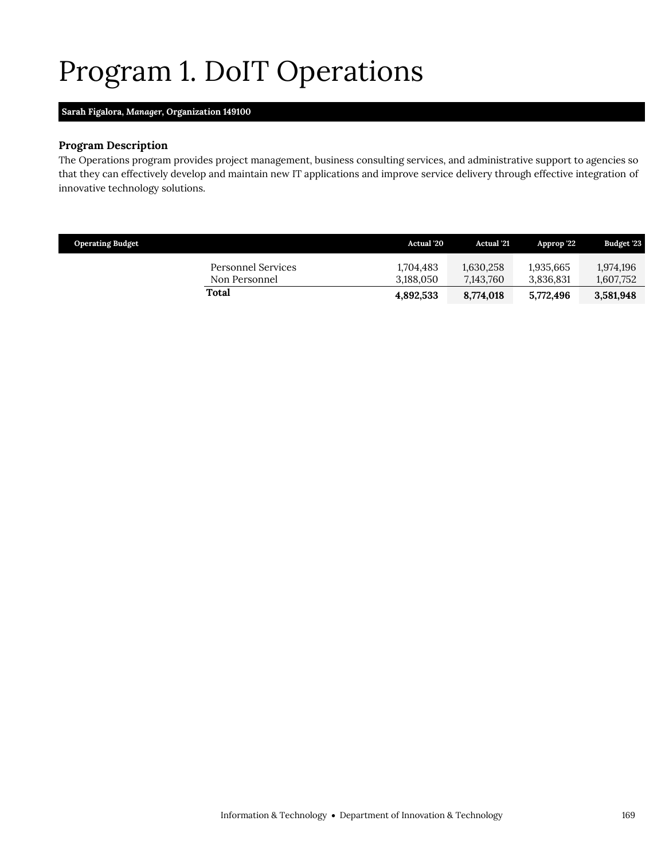# <span id="page-10-0"></span>Program 1. DoIT Operations

#### **Sarah Figalora,** *Manager,* **Organization 149100**

#### **Program Description**

The Operations program provides project management, business consulting services, and administrative support to agencies so that they can effectively develop and maintain new IT applications and improve service delivery through effective integration of innovative technology solutions.

| <b>Operating Budget</b>             | <b>Actual</b> '20      | Actual '21             | Approp '22             | <b>Budget '23</b>      |
|-------------------------------------|------------------------|------------------------|------------------------|------------------------|
| Personnel Services<br>Non Personnel | 1.704.483<br>3.188.050 | 1,630,258<br>7,143,760 | 1.935.665<br>3,836,831 | 1.974.196<br>1,607,752 |
| Total                               | 4.892.533              | 8,774,018              | 5,772,496              | 3,581,948              |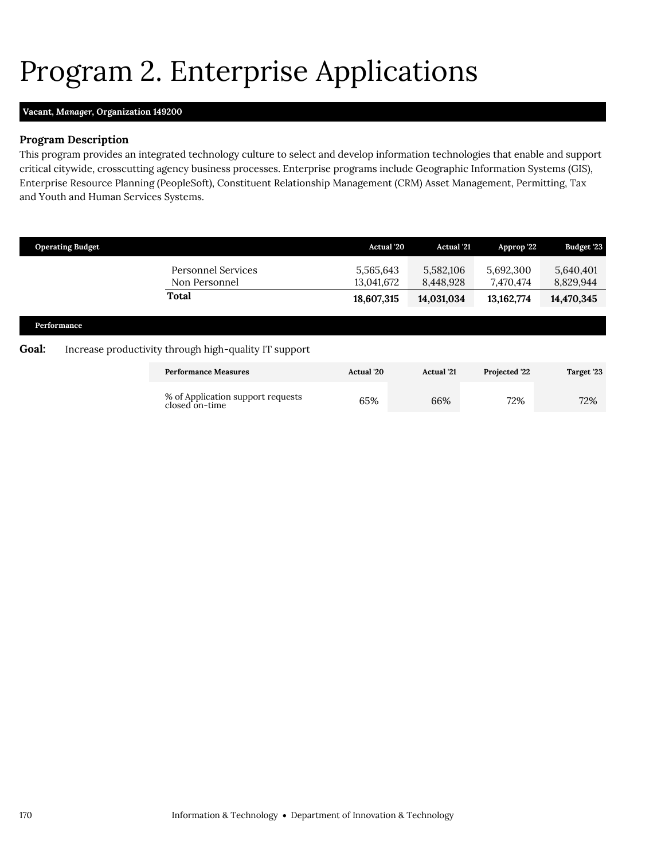# <span id="page-11-0"></span>Program 2. Enterprise Applications

#### **Vacant,** *Manager,* **Organization 149200**

#### **Program Description**

This program provides an integrated technology culture to select and develop information technologies that enable and support critical citywide, crosscutting agency business processes. Enterprise programs include Geographic Information Systems (GIS), Enterprise Resource Planning (PeopleSoft), Constituent Relationship Management (CRM) Asset Management, Permitting, Tax and Youth and Human Services Systems.

|       | <b>Operating Budget</b> |                                                       | <b>Actual</b> '20       | <b>Actual</b> '21      | Approp '22             | Budget '23             |
|-------|-------------------------|-------------------------------------------------------|-------------------------|------------------------|------------------------|------------------------|
|       |                         | <b>Personnel Services</b><br>Non Personnel            | 5,565,643<br>13,041,672 | 5,582,106<br>8,448,928 | 5,692,300<br>7,470,474 | 5,640,401<br>8,829,944 |
|       |                         | Total                                                 | 18,607,315              | 14,031,034             | 13, 162, 774           | 14,470,345             |
|       | Performance             |                                                       |                         |                        |                        |                        |
| Goal: |                         | Increase productivity through high-quality IT support |                         |                        |                        |                        |
|       |                         | <b>Performance Measures</b>                           | Actual '20              | <b>Actual</b> '21      | Projected '22          | Target '23             |
|       |                         | % of Application support requests<br>closed on-time   | 65%                     | 66%                    | 72%                    | 72%                    |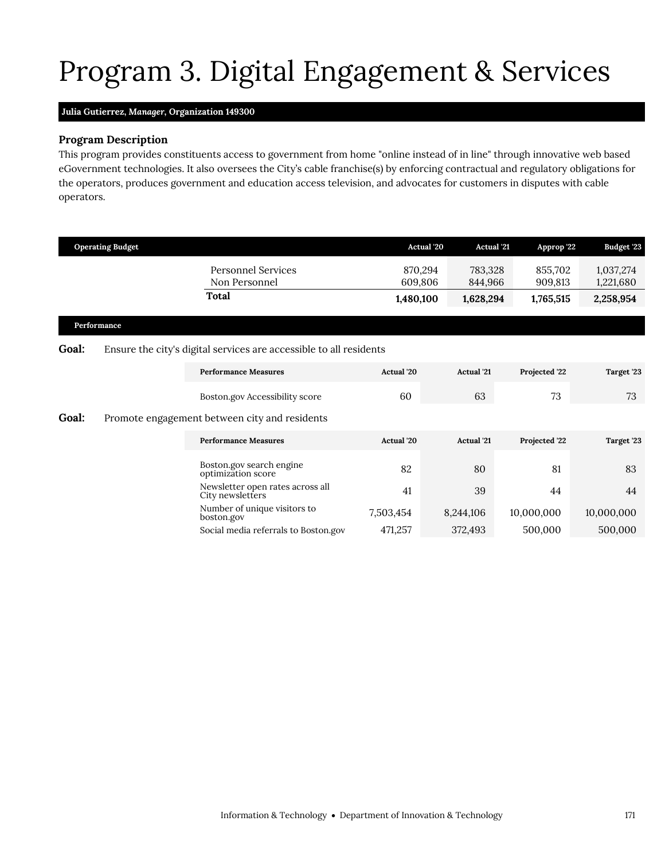# Program 3. Digital Engagement & Services

#### <span id="page-12-0"></span>**Julia Gutierrez,** *Manager,* **Organization 149300**

#### **Program Description**

This program provides constituents access to government from home "online instead of in line" through innovative web based eGovernment technologies. It also oversees the City's cable franchise(s) by enforcing contractual and regulatory obligations for the operators, produces government and education access television, and advocates for customers in disputes with cable operators.

|       | <b>Operating Budget</b> |                                                                    | Actual '20         | <b>Actual</b> '21                  | Approp '22         | Budget '23             |
|-------|-------------------------|--------------------------------------------------------------------|--------------------|------------------------------------|--------------------|------------------------|
|       |                         | <b>Personnel Services</b><br>Non Personnel                         | 870,294<br>609,806 | 783,328<br>844,966                 | 855,702<br>909,813 | 1,037,274<br>1,221,680 |
|       |                         | <b>Total</b>                                                       | 1,480,100          | 1,628,294                          | 1,765,515          | 2,258,954              |
|       | Performance             |                                                                    |                    |                                    |                    |                        |
|       |                         |                                                                    |                    |                                    |                    |                        |
| Goal: |                         | Ensure the city's digital services are accessible to all residents |                    |                                    |                    |                        |
|       |                         | <b>Performance Measures</b>                                        | Actual '20         | <b>Actual</b> '21<br>Projected '22 |                    | Target '23             |
|       |                         | Boston.gov Accessibility score                                     | 60                 | 63                                 | 73                 | 73                     |
| Goal: |                         | Promote engagement between city and residents                      |                    |                                    |                    |                        |
|       |                         | <b>Performance Measures</b>                                        | Actual '20         | <b>Actual</b> '21                  | Projected '22      | Target '23             |
|       |                         | Boston.gov search engine<br>optimization score                     | 82                 | 80                                 | 81                 | 83                     |
|       |                         | Newsletter open rates across all<br>City newsletters               | 41                 | 39                                 | 44                 | 44                     |
|       |                         | Number of unique visitors to<br>boston.gov                         | 7,503,454          | 8,244,106                          | 10,000,000         | 10,000,000             |
|       |                         | Social media referrals to Boston.gov                               | 471,257            | 372,493                            | 500,000            | 500,000                |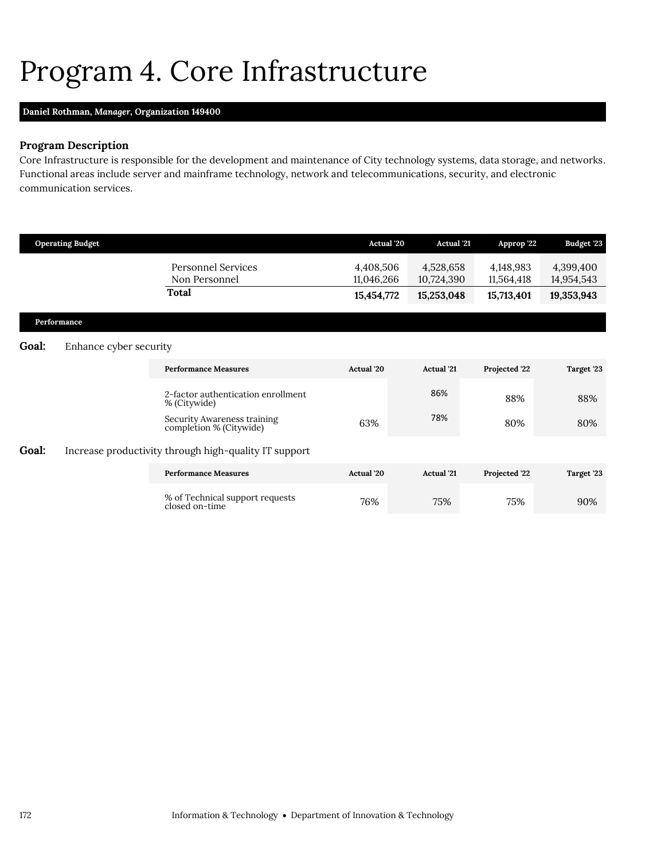### <span id="page-13-0"></span>Program 4. Core Infrastructure

#### **Daniel Rothman,** *Manager,* **Organization 149400**

#### **Program Description**

Core Infrastructure is responsible for the development and maintenance of City technology systems, data storage, and networks. Functional areas include server and mainframe technology, network and telecommunications, security, and electronic communication services.

|              | <b>Operating Budget</b> |                                                        | <b>Actual</b> '20       | <b>Actual</b> '21       | Approp '22              | Budget '23              |
|--------------|-------------------------|--------------------------------------------------------|-------------------------|-------------------------|-------------------------|-------------------------|
|              |                         | <b>Personnel Services</b><br>Non Personnel             | 4,408,506<br>11,046,266 | 4,528,658<br>10,724,390 | 4,148,983<br>11,564,418 | 4,399,400<br>14,954,543 |
|              |                         | Total                                                  | 15,454,772              | 15,253,048              | 15,713,401              | 19,353,943              |
|              | Performance             |                                                        |                         |                         |                         |                         |
| Goal:        | Enhance cyber security  |                                                        |                         |                         |                         |                         |
|              |                         | <b>Performance Measures</b>                            | Actual '20              | <b>Actual</b> '21       | Projected '22           | Target '23              |
|              |                         | 2-factor authentication enrollment<br>% (Citywide)     |                         | 86%                     | 88%                     | 88%                     |
|              |                         | Security Awareness training<br>completion % (Citywide) | 63%                     | 78%                     | 80%                     | 80%                     |
| <b>Goal:</b> |                         | Increase productivity through high-quality IT support  |                         |                         |                         |                         |
|              |                         | <b>Performance Measures</b>                            | Actual '20              | <b>Actual</b> '21       | Projected '22           | Target '23              |
|              |                         | % of Technical support requests<br>closed on-time      | 76%                     | 75%                     | 75%                     | 90%                     |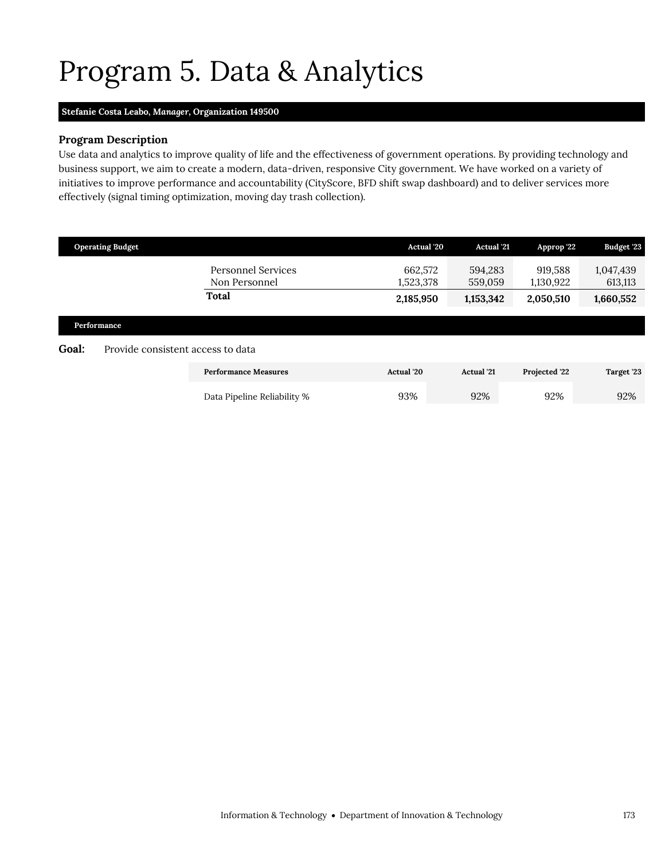## <span id="page-14-0"></span>Program 5. Data & Analytics

#### **Stefanie Costa Leabo,** *Manager,* **Organization 149500**

#### **Program Description**

Use data and analytics to improve quality of life and the effectiveness of government operations. By providing technology and business support, we aim to create a modern, data-driven, responsive City government. We have worked on a variety of initiatives to improve performance and accountability (CityScore, BFD shift swap dashboard) and to deliver services more effectively (signal timing optimization, moving day trash collection).

|       | <b>Operating Budget</b>           |                                            | <b>Actual '20</b>    | <b>Actual</b> '21  | Approp '22           | Budget '23           |
|-------|-----------------------------------|--------------------------------------------|----------------------|--------------------|----------------------|----------------------|
|       |                                   | <b>Personnel Services</b><br>Non Personnel | 662,572<br>1,523,378 | 594,283<br>559,059 | 919,588<br>1,130,922 | 1,047,439<br>613,113 |
|       |                                   | <b>Total</b>                               | 2,185,950            | 1,153,342          | 2,050,510            | 1,660,552            |
|       | Performance                       |                                            |                      |                    |                      |                      |
| Goal: | Provide consistent access to data |                                            |                      |                    |                      |                      |
|       |                                   | <b>Performance Measures</b>                | Actual '20           | <b>Actual</b> '21  | Projected '22        | Target '23           |
|       |                                   | Data Pipeline Reliability %                | 93%                  | 92%                | 92%                  | 92%                  |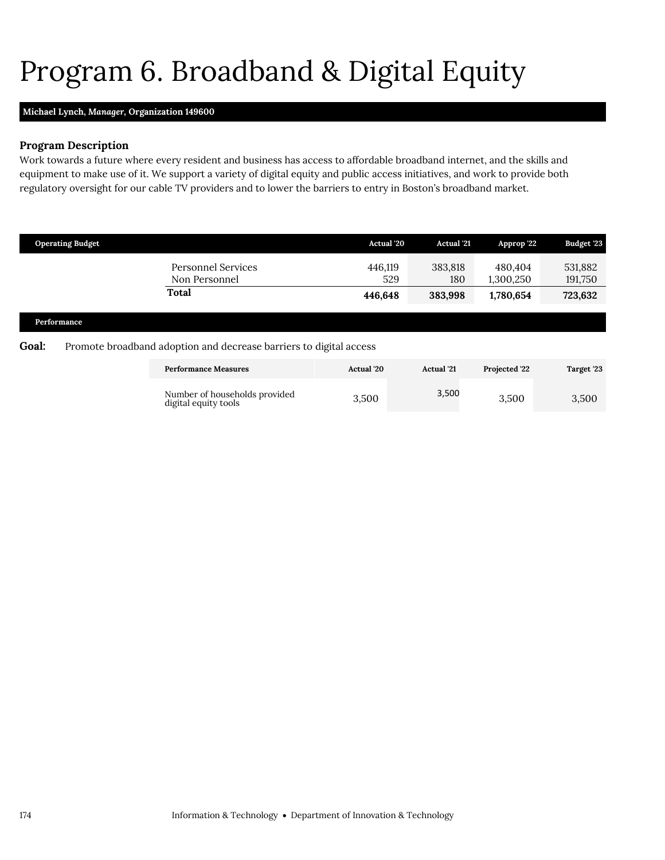# <span id="page-15-0"></span>Program 6. Broadband & Digital Equity

#### **Michael Lynch,** *Manager,* **Organization 149600**

#### **Program Description**

Work towards a future where every resident and business has access to affordable broadband internet, and the skills and equipment to make use of it. We support a variety of digital equity and public access initiatives, and work to provide both regulatory oversight for our cable TV providers and to lower the barriers to entry in Boston's broadband market.

|       | <b>Operating Budget</b> |                                                                    | Actual '20        | <b>Actual</b> '21 | Approp '22           | Budget '23         |
|-------|-------------------------|--------------------------------------------------------------------|-------------------|-------------------|----------------------|--------------------|
|       |                         | Personnel Services<br>Non Personnel                                | 446,119<br>529    | 383,818<br>180    | 480.404<br>1,300,250 | 531,882<br>191,750 |
|       |                         | <b>Total</b>                                                       | 446,648           | 383,998           | 1,780,654            | 723,632            |
|       | Performance             |                                                                    |                   |                   |                      |                    |
| Goal: |                         | Promote broadband adoption and decrease barriers to digital access |                   |                   |                      |                    |
|       |                         | <b>Performance Measures</b>                                        | <b>Actual</b> '20 | <b>Actual</b> '21 | Projected '22        | Target '23         |
|       |                         | Number of households provided<br>digital equity tools              | 3,500             | 3,500             | 3,500                | 3,500              |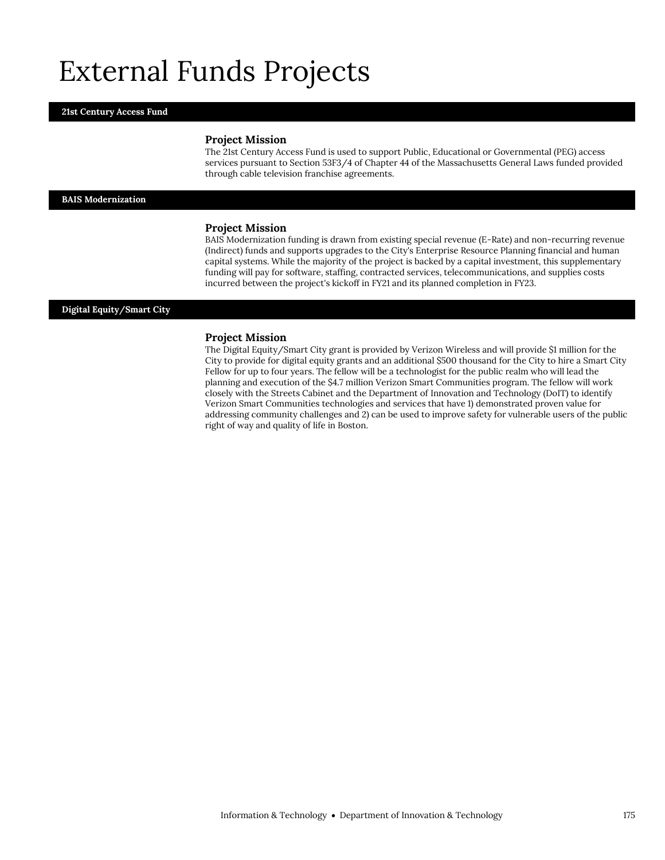### External Funds Projects

#### **21st Century Access Fund**

#### **Project Mission**

The 21st Century Access Fund is used to support Public, Educational or Governmental (PEG) access services pursuant to Section 53F3/4 of Chapter 44 of the Massachusetts General Laws funded provided through cable television franchise agreements.

#### **BAIS Modernization**

#### **Project Mission**

BAIS Modernization funding is drawn from existing special revenue (E-Rate) and non-recurring revenue (Indirect) funds and supports upgrades to the City's Enterprise Resource Planning financial and human capital systems. While the majority of the project is backed by a capital investment, this supplementary funding will pay for software, staffing, contracted services, telecommunications, and supplies costs incurred between the project's kickoff in FY21 and its planned completion in FY23.

#### **Digital Equity/Smart City**

#### **Project Mission**

The Digital Equity/Smart City grant is provided by Verizon Wireless and will provide \$1 million for the City to provide for digital equity grants and an additional \$500 thousand for the City to hire a Smart City Fellow for up to four years. The fellow will be a technologist for the public realm who will lead the planning and execution of the \$4.7 million Verizon Smart Communities program. The fellow will work closely with the Streets Cabinet and the Department of Innovation and Technology (DoIT) to identify Verizon Smart Communities technologies and services that have 1) demonstrated proven value for addressing community challenges and 2) can be used to improve safety for vulnerable users of the public right of way and quality of life in Boston.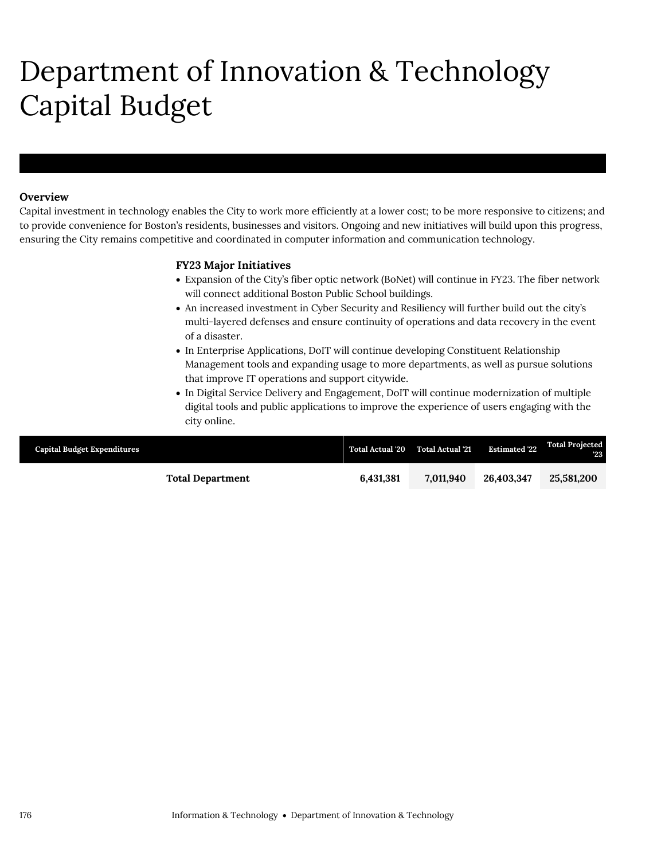## Department of Innovation & Technology Capital Budget

### **Overview**

Capital investment in technology enables the City to work more efficiently at a lower cost; to be more responsive to citizens; and to provide convenience for Boston's residents, businesses and visitors. Ongoing and new initiatives will build upon this progress, ensuring the City remains competitive and coordinated in computer information and communication technology.

#### **FY23 Major Initiatives**

- Expansion of the City's fiber optic network (BoNet) will continue in FY23. The fiber network will connect additional Boston Public School buildings.
- An increased investment in Cyber Security and Resiliency will further build out the city's multi-layered defenses and ensure continuity of operations and data recovery in the event of a disaster.
- In Enterprise Applications, DoIT will continue developing Constituent Relationship Management tools and expanding usage to more departments, as well as pursue solutions that improve IT operations and support citywide.
- In Digital Service Delivery and Engagement, DoIT will continue modernization of multiple digital tools and public applications to improve the experience of users engaging with the city online.

| <b>Capital Budget Expenditures</b> |                         | <b>Total Actual '20</b> | <b>Total Actual '21</b> | <b>Estimated 22</b> | <b>Total Projected</b><br>'23 |
|------------------------------------|-------------------------|-------------------------|-------------------------|---------------------|-------------------------------|
|                                    | <b>Total Department</b> | 6.431.381               | 7.011.940               | 26.403.347          | 25,581,200                    |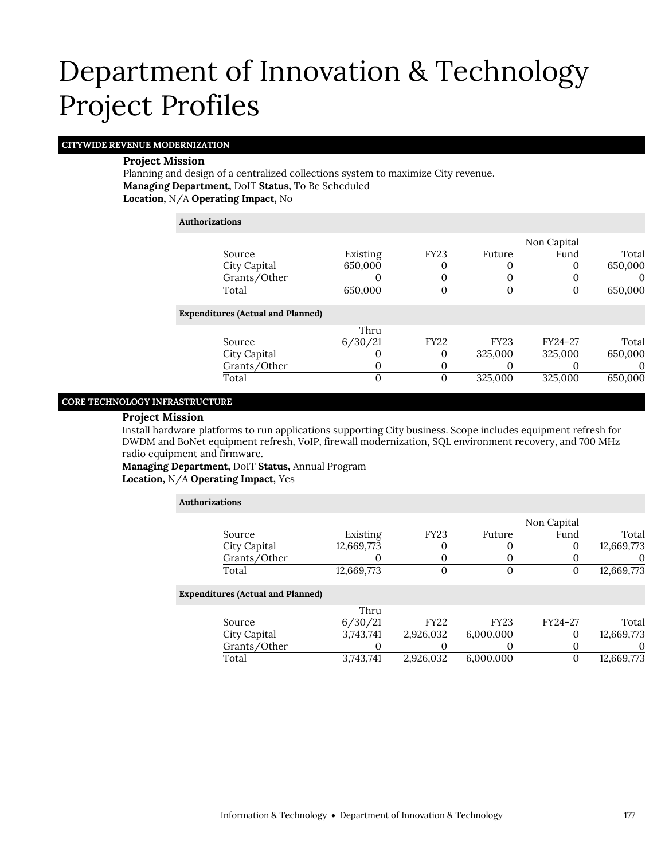#### **CITYWIDE REVENUE MODERNIZATION**

#### **Project Mission**

Planning and design of a centralized collections system to maximize City revenue. **Managing Department,** DoIT **Status,** To Be Scheduled **Location,** N/A **Operating Impact,** No

#### **Authorizations**

|                                          |          |             |             | Non Capital |          |
|------------------------------------------|----------|-------------|-------------|-------------|----------|
| Source                                   | Existing | <b>FY23</b> | Future      | Fund        | Total    |
| City Capital                             | 650,000  | 0           |             | 0           | 650,000  |
| Grants/Other                             |          | $\theta$    |             |             | $\Omega$ |
| Total                                    | 650,000  | $\mathbf 0$ | 0           | 0           | 650,000  |
| <b>Expenditures (Actual and Planned)</b> |          |             |             |             |          |
|                                          | Thru     |             |             |             |          |
| Source                                   | 6/30/21  | <b>FY22</b> | <b>FY23</b> | FY24-27     | Total    |
| City Capital                             |          | 0           | 325,000     | 325,000     | 650,000  |
| Grants/Other                             |          | $\Omega$    | O           |             | $\Omega$ |
| Total                                    | 0        | $\mathbf 0$ | 325,000     | 325,000     | 650,000  |
|                                          |          |             |             |             |          |

#### **CORE TECHNOLOGY INFRASTRUCTURE**

#### **Project Mission**

Install hardware platforms to run applications supporting City business. Scope includes equipment refresh for DWDM and BoNet equipment refresh, VoIP, firewall modernization, SQL environment recovery, and 700 MHz radio equipment and firmware.

**Managing Department,** DoIT **Status,** Annual Program **Location,** N/A **Operating Impact,** Yes

| <b>Authorizations</b>                    |            |              |             |             |            |
|------------------------------------------|------------|--------------|-------------|-------------|------------|
|                                          |            |              |             | Non Capital |            |
| Source                                   | Existing   | <b>FY23</b>  | Future      | Fund        | Total      |
| City Capital                             | 12,669,773 | 0            | $\Omega$    | 0           | 12,669,773 |
| Grants/Other                             |            | 0            | 0           |             |            |
| Total                                    | 12,669,773 | $\mathbf{0}$ | 0           | 0           | 12,669,773 |
| <b>Expenditures (Actual and Planned)</b> |            |              |             |             |            |
|                                          | Thru       |              |             |             |            |
| Source                                   | 6/30/21    | <b>FY22</b>  | <b>FY23</b> | FY24-27     | Total      |
| City Capital                             | 3,743,741  | 2,926,032    | 6,000,000   | 0           | 12,669,773 |
| Grants/Other                             |            | 0            | $\Omega$    |             | O          |
| Total                                    | 3.743.741  | 2.926.032    | 6.000.000   |             | 12.669.773 |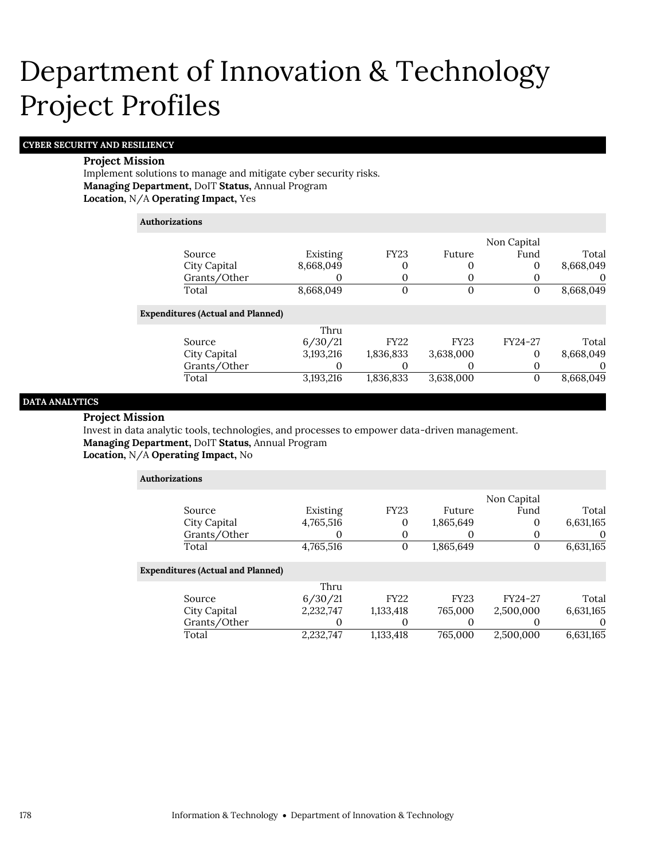#### **CYBER SECURITY AND RESILIENCY**

#### **Project Mission**

Implement solutions to manage and mitigate cyber security risks. **Managing Department,** DoIT **Status,** Annual Program **Location,** N/A **Operating Impact,** Yes

#### **Authorizations**

| Source<br>City Capital<br>Grants/Other<br>Total | Existing<br>8,668,049<br>8,668,049        | <b>FY23</b><br>0<br>0<br>0                 | Future<br>0<br>0                           | Non Capital<br>Fund<br>$\Omega$<br>0 | Total<br>8,668,049<br>$\Omega$<br>8,668,049 |
|-------------------------------------------------|-------------------------------------------|--------------------------------------------|--------------------------------------------|--------------------------------------|---------------------------------------------|
| <b>Expenditures (Actual and Planned)</b>        |                                           |                                            |                                            |                                      |                                             |
| Source<br>City Capital<br>Grants/Other<br>Total | Thru<br>6/30/21<br>3,193,216<br>3,193,216 | <b>FY22</b><br>1,836,833<br>O<br>1,836,833 | <b>FY23</b><br>3,638,000<br>O<br>3,638,000 | FY24-27<br>0                         | Total<br>8,668,049<br>$\theta$<br>8,668,049 |

#### **DATA ANALYTICS**

#### **Project Mission**

Invest in data analytic tools, technologies, and processes to empower data-driven management. **Managing Department,** DoIT **Status,** Annual Program **Location,** N/A **Operating Impact,** No

| <b>Authorizations</b>                    |                 |             |             |             |           |
|------------------------------------------|-----------------|-------------|-------------|-------------|-----------|
|                                          |                 |             |             | Non Capital |           |
| Source                                   | Existing        | <b>FY23</b> | Future      | Fund        | Total     |
| City Capital                             | 4,765,516       | 0           | 1,865,649   | 0           | 6,631,165 |
| Grants/Other                             | 0               | 0           |             | 0           | $\theta$  |
| Total                                    | 4,765,516       | 0           | 1,865,649   |             | 6,631,165 |
| <b>Expenditures (Actual and Planned)</b> |                 |             |             |             |           |
| Source                                   | Thru<br>6/30/21 | <b>FY22</b> | <b>FY23</b> | FY24-27     | Total     |

City Capital 2,232,747 1,133,418 765,000 2,500,000 6,631,165 Grants/Other 0 0 0 0 0 Total 2,232,747 1,133,418 765,000 2,500,000 6,631,165

| 178 | Information & Technology • Department of Innovation & Technology |  |
|-----|------------------------------------------------------------------|--|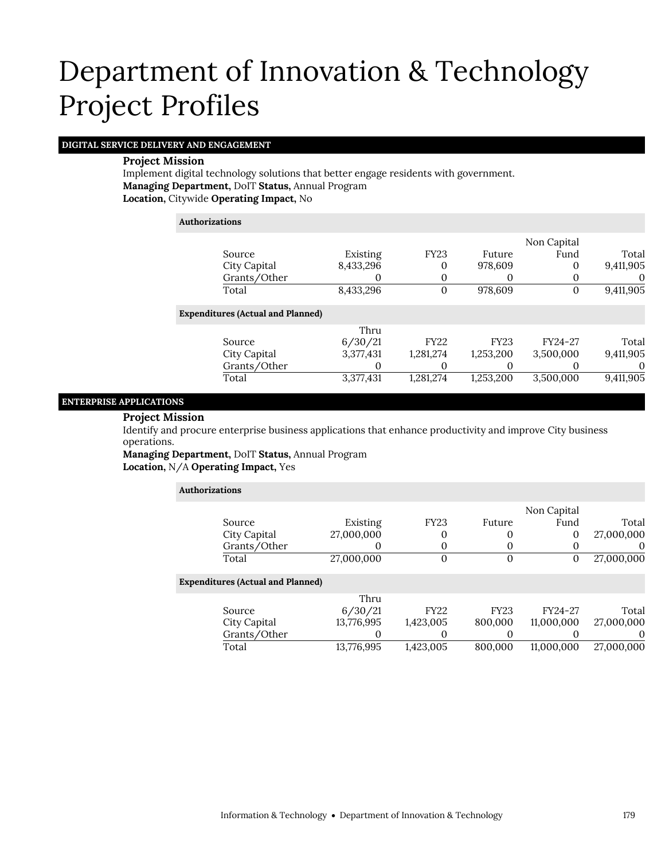#### **DIGITAL SERVICE DELIVERY AND ENGAGEMENT**

#### **Project Mission**

Implement digital technology solutions that better engage residents with government. **Managing Department,** DoIT **Status,** Annual Program **Location,** Citywide **Operating Impact,** No

#### **Authorizations**

|                                          |           |             |             | Non Capital |           |
|------------------------------------------|-----------|-------------|-------------|-------------|-----------|
| Source                                   | Existing  | <b>FY23</b> | Future      | Fund        | Total     |
| City Capital                             | 8,433,296 | 0           | 978,609     | 0           | 9,411,905 |
| Grants/Other                             |           | 0           |             |             | 0         |
| Total                                    | 8,433,296 | $\mathbf 0$ | 978,609     | 0           | 9,411,905 |
| <b>Expenditures (Actual and Planned)</b> |           |             |             |             |           |
|                                          | Thru      |             |             |             |           |
| Source                                   | 6/30/21   | <b>FY22</b> | <b>FY23</b> | FY24-27     | Total     |
| City Capital                             | 3,377,431 | 1,281,274   | 1,253,200   | 3,500,000   | 9,411,905 |
| Grants/Other                             |           | $\Omega$    |             |             | $\Omega$  |
| Total                                    | 3,377,431 | 1,281,274   | 1,253,200   | 3,500,000   | 9,411,905 |

#### **ENTERPRISE APPLICATIONS**

#### **Project Mission**

Identify and procure enterprise business applications that enhance productivity and improve City business operations.

**Managing Department,** DoIT **Status,** Annual Program **Location,** N/A **Operating Impact,** Yes

| <b>Authorizations</b> |                                          |            |                |             |             |            |
|-----------------------|------------------------------------------|------------|----------------|-------------|-------------|------------|
|                       |                                          |            |                |             | Non Capital |            |
|                       | Source                                   | Existing   | <b>FY23</b>    | Future      | Fund        | Total      |
|                       | City Capital                             | 27,000,000 | 0              | 0           | $\Omega$    | 27,000,000 |
|                       | Grants/Other                             |            | 0              | 0           |             | $\theta$   |
|                       | Total                                    | 27,000,000 | $\overline{0}$ | $\Omega$    | 0           | 27,000,000 |
|                       | <b>Expenditures (Actual and Planned)</b> |            |                |             |             |            |
|                       |                                          | Thru       |                |             |             |            |
|                       | Source                                   | 6/30/21    | <b>FY22</b>    | <b>FY23</b> | FY24-27     | Total      |
|                       | City Capital                             | 13,776,995 | 1,423,005      | 800,000     | 11,000,000  | 27,000,000 |
|                       | Grants/Other                             | O          | 0              | $\Omega$    |             | $\theta$   |
|                       | Total                                    | 13,776,995 | 1.423.005      | 800.000     | 11.000.000  | 27,000,000 |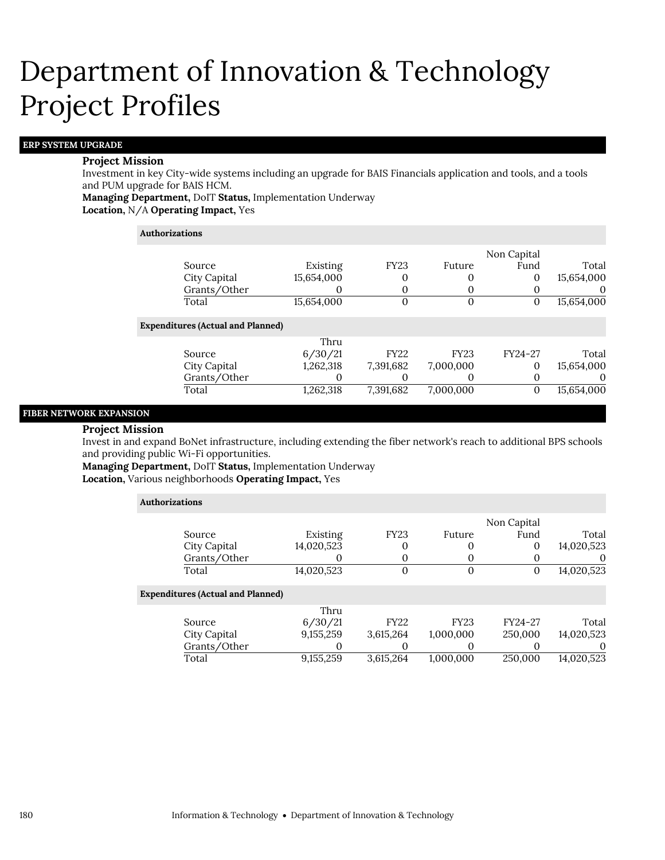#### **ERP SYSTEM UPGRADE**

#### **Project Mission**

Investment in key City-wide systems including an upgrade for BAIS Financials application and tools, and a tools and PUM upgrade for BAIS HCM.

**Managing Department,** DoIT **Status,** Implementation Underway **Location,** N/A **Operating Impact,** Yes

#### **Authorizations**

| Source<br>City Capital                          | Existing<br>15,654,000                    | <b>FY23</b><br>0                           | Future<br>0                                | Non Capital<br>Fund<br>0      | Total<br>15,654,000                           |
|-------------------------------------------------|-------------------------------------------|--------------------------------------------|--------------------------------------------|-------------------------------|-----------------------------------------------|
| Grants/Other                                    |                                           | 0                                          | $\Omega$                                   |                               | $\theta$                                      |
| Total                                           | 15,654,000                                | 0                                          | $\Omega$                                   | O                             | 15,654,000                                    |
| <b>Expenditures (Actual and Planned)</b>        |                                           |                                            |                                            |                               |                                               |
| Source<br>City Capital<br>Grants/Other<br>Total | Thru<br>6/30/21<br>1,262,318<br>1,262,318 | <b>FY22</b><br>7,391,682<br>0<br>7,391,682 | <b>FY23</b><br>7,000,000<br>0<br>7,000,000 | FY24-27<br>0<br>0<br>$\Omega$ | Total<br>15,654,000<br>$\Omega$<br>15,654,000 |
|                                                 |                                           |                                            |                                            |                               |                                               |

#### **FIBER NETWORK EXPANSION**

#### **Project Mission**

Invest in and expand BoNet infrastructure, including extending the fiber network's reach to additional BPS schools and providing public Wi-Fi opportunities.

**Managing Department,** DoIT **Status,** Implementation Underway **Location,** Various neighborhoods **Operating Impact,** Yes

#### **Authorizations** Source Existing FY23 Future Non Capital Fund Total<br>0 14,020,523 City Capital 14,020,523 0 0 0 0 Grants/Other 0 0 0 0 0 0 Total 14,020,523 0 0 0 14,020,523 **Expenditures (Actual and Planned)** Source Thru 6/30/21 FY22 FY23 FY24-27 Total City Capital 9,155,259 3,615,264 Grants/Other 0 0 0 0 0<br>Total 9,155,259 3,615,264 1,000,000 250,000 14,020,523 Total 9,155,259 3,615,264 1,000,000 250,000 14,020,523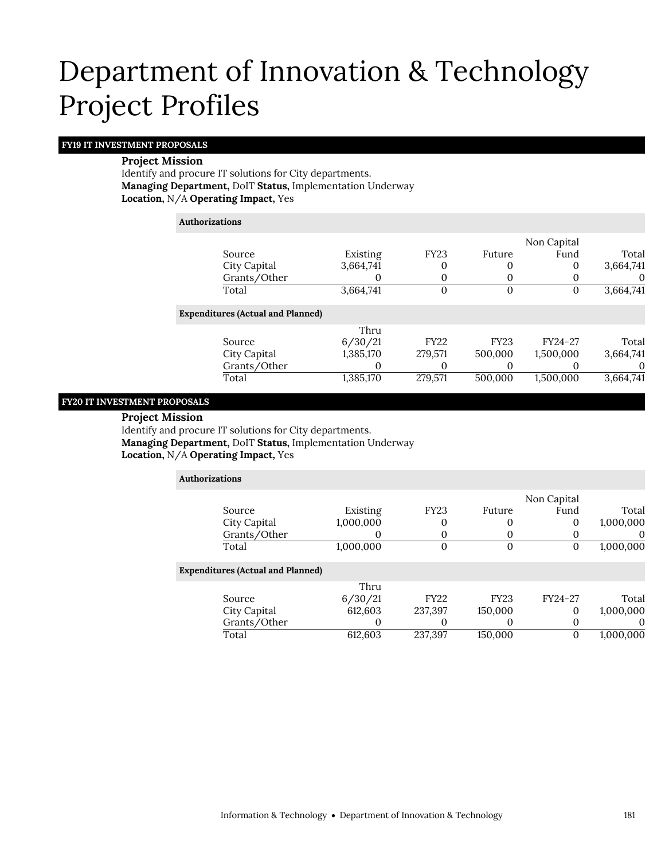#### **FY19 IT INVESTMENT PROPOSALS**

#### **Project Mission**

Identify and procure IT solutions for City departments. **Managing Department,** DoIT **Status,** Implementation Underway **Location,** N/A **Operating Impact,** Yes

#### **Authorizations**

|                                          |           |              |             | Non Capital |           |
|------------------------------------------|-----------|--------------|-------------|-------------|-----------|
| Source                                   | Existing  | <b>FY23</b>  | Future      | Fund        | Total     |
| City Capital                             | 3,664,741 | 0            |             | 0           | 3,664,741 |
| Grants/Other                             |           | 0            |             |             | 0         |
| Total                                    | 3,664,741 | $\mathbf{0}$ |             | 0           | 3,664,741 |
| <b>Expenditures (Actual and Planned)</b> |           |              |             |             |           |
|                                          | Thru      |              |             |             |           |
| Source                                   | 6/30/21   | <b>FY22</b>  | <b>FY23</b> | FY24-27     | Total     |
| City Capital                             | 1,385,170 | 279,571      | 500,000     | 1,500,000   | 3,664,741 |
| Grants/Other                             |           | 0            |             |             | $\Omega$  |
| Total                                    | 1,385,170 | 279,571      | 500,000     | 1,500,000   | 3,664,741 |
|                                          |           |              |             |             |           |

#### **FY20 IT INVESTMENT PROPOSALS**

#### **Project Mission**

Identify and procure IT solutions for City departments. **Managing Department,** DoIT **Status,** Implementation Underway **Location,** N/A **Operating Impact,** Yes

| Authorizations                           |              |           |             |             |             |           |  |
|------------------------------------------|--------------|-----------|-------------|-------------|-------------|-----------|--|
|                                          |              |           |             |             | Non Capital |           |  |
|                                          | Source       | Existing  | <b>FY23</b> | Future      | Fund        | Total     |  |
|                                          | City Capital | 1,000,000 | 0           | 0           | 0           | 1,000,000 |  |
|                                          | Grants/Other |           | 0           | 0           | 0           | O         |  |
|                                          | Total        | 1,000,000 | 0           | $\Omega$    | 0           | 1,000,000 |  |
| <b>Expenditures (Actual and Planned)</b> |              |           |             |             |             |           |  |
|                                          |              | Thru      |             |             |             |           |  |
|                                          | Source       | 6/30/21   | <b>FY22</b> | <b>FY23</b> | FY24-27     | Total     |  |
|                                          | City Capital | 612,603   | 237,397     | 150,000     | 0           | 1,000,000 |  |
|                                          | Grants/Other |           | $\Omega$    | $\Omega$    | 0           | O         |  |
|                                          | Total        | 612,603   | 237,397     | 150,000     | 0           | 1,000,000 |  |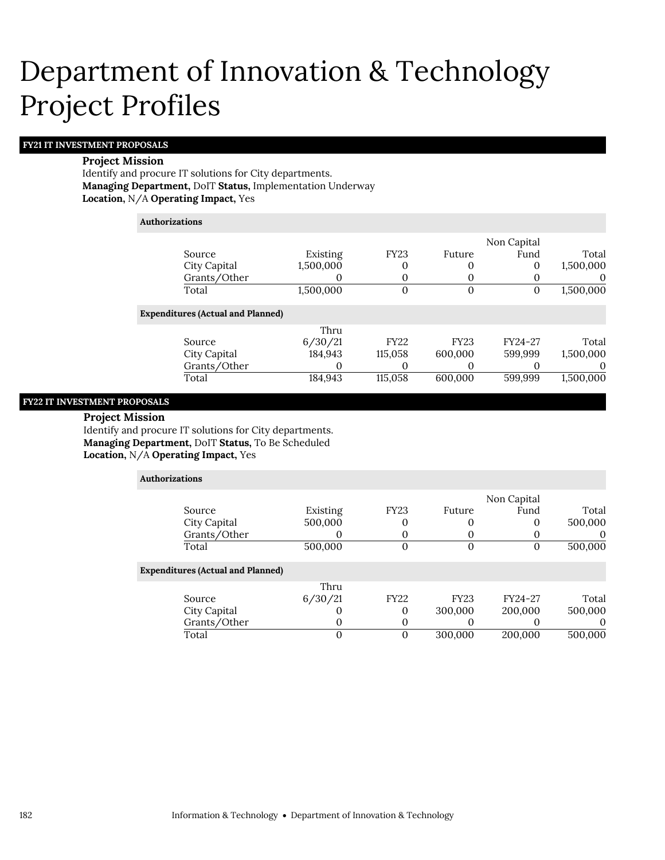#### **FY21 IT INVESTMENT PROPOSALS**

#### **Project Mission**

Identify and procure IT solutions for City departments. **Managing Department,** DoIT **Status,** Implementation Underway **Location,** N/A **Operating Impact,** Yes

#### **Authorizations**

|                                          |           |             |             | Non Capital |           |
|------------------------------------------|-----------|-------------|-------------|-------------|-----------|
| Source                                   | Existing  | <b>FY23</b> | Future      | Fund        | Total     |
| City Capital                             | 1,500,000 | 0           | 0           | $\Omega$    | 1,500,000 |
| Grants/Other                             |           | 0           |             |             | $\Omega$  |
| Total                                    | 1,500,000 | 0           | 0           |             | 1,500,000 |
| <b>Expenditures (Actual and Planned)</b> |           |             |             |             |           |
|                                          | Thru      |             |             |             |           |
| Source                                   | 6/30/21   | FY22        | <b>FY23</b> | FY24-27     | Total     |
| City Capital                             | 184.943   | 115,058     | 600,000     | 599,999     | 1,500,000 |
| Grants/Other                             | O         | 0           | O           |             |           |
| Total                                    | 184,943   | 115,058     | 600,000     | 599,999     | 1,500,000 |

#### **FY22 IT INVESTMENT PROPOSALS**

#### **Project Mission**

Identify and procure IT solutions for City departments. **Managing Department,** DoIT **Status,** To Be Scheduled **Location,** N/A **Operating Impact,** Yes

| <b>Authorizations</b>                    |                     |                  |        |             |                  |
|------------------------------------------|---------------------|------------------|--------|-------------|------------------|
|                                          |                     |                  |        | Non Capital |                  |
| Source<br>City Capital                   | Existing<br>500,000 | <b>FY23</b><br>0 | Future | Fund<br>O   | Total<br>500,000 |
| Grants/Other                             |                     | 0                |        | υ           |                  |
| Total                                    | 500,000             | 0                |        |             | 500,000          |
| <b>Expenditures (Actual and Planned)</b> |                     |                  |        |             |                  |
|                                          | $-1$                |                  |        |             |                  |

|              | Thru    |             |             |         |         |
|--------------|---------|-------------|-------------|---------|---------|
| Source       | 6/30/21 | <b>FY22</b> | <b>FY23</b> | FY24-27 | Total   |
| City Capital |         |             | 300,000     | 200.000 | 500,000 |
| Grants/Other |         |             |             |         |         |
| Total        |         |             | 300,000     | 200.000 | 500,000 |